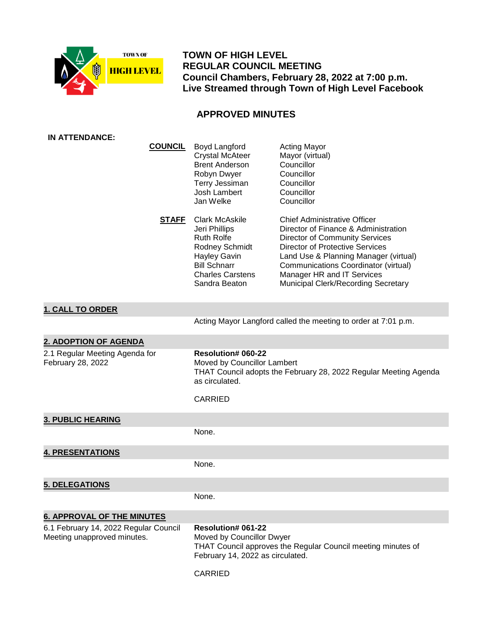

 **TOWN OF HIGH LEVEL REGULAR COUNCIL MEETING Council Chambers, February 28, 2022 at 7:00 p.m. Live Streamed through Town of High Level Facebook**

# **APPROVED MINUTES**

| <b>IN ATTENDANCE:</b>                                                |                                                                                                                                                                         |                                                                                                                                                                                                                                                                                                                      |
|----------------------------------------------------------------------|-------------------------------------------------------------------------------------------------------------------------------------------------------------------------|----------------------------------------------------------------------------------------------------------------------------------------------------------------------------------------------------------------------------------------------------------------------------------------------------------------------|
| <b>COUNCIL</b>                                                       | Boyd Langford<br><b>Crystal McAteer</b><br><b>Brent Anderson</b><br>Robyn Dwyer<br>Terry Jessiman<br>Josh Lambert<br>Jan Welke                                          | <b>Acting Mayor</b><br>Mayor (virtual)<br>Councillor<br>Councillor<br>Councillor<br>Councillor<br>Councillor                                                                                                                                                                                                         |
| <b>STAFF</b>                                                         | <b>Clark McAskile</b><br>Jeri Phillips<br><b>Ruth Rolfe</b><br>Rodney Schmidt<br><b>Hayley Gavin</b><br><b>Bill Schnarr</b><br><b>Charles Carstens</b><br>Sandra Beaton | <b>Chief Administrative Officer</b><br>Director of Finance & Administration<br><b>Director of Community Services</b><br><b>Director of Protective Services</b><br>Land Use & Planning Manager (virtual)<br>Communications Coordinator (virtual)<br>Manager HR and IT Services<br>Municipal Clerk/Recording Secretary |
| <b>1. CALL TO ORDER</b>                                              |                                                                                                                                                                         |                                                                                                                                                                                                                                                                                                                      |
|                                                                      |                                                                                                                                                                         | Acting Mayor Langford called the meeting to order at 7:01 p.m.                                                                                                                                                                                                                                                       |
| <b>2. ADOPTION OF AGENDA</b>                                         |                                                                                                                                                                         |                                                                                                                                                                                                                                                                                                                      |
| 2.1 Regular Meeting Agenda for<br>February 28, 2022                  | Resolution# 060-22<br>Moved by Councillor Lambert<br>as circulated.<br><b>CARRIED</b>                                                                                   | THAT Council adopts the February 28, 2022 Regular Meeting Agenda                                                                                                                                                                                                                                                     |
|                                                                      |                                                                                                                                                                         |                                                                                                                                                                                                                                                                                                                      |
| <b>3. PUBLIC HEARING</b>                                             |                                                                                                                                                                         |                                                                                                                                                                                                                                                                                                                      |
|                                                                      | None.                                                                                                                                                                   |                                                                                                                                                                                                                                                                                                                      |
| <b>4. PRESENTATIONS</b>                                              |                                                                                                                                                                         |                                                                                                                                                                                                                                                                                                                      |
|                                                                      | None.                                                                                                                                                                   |                                                                                                                                                                                                                                                                                                                      |
| <b>5. DELEGATIONS</b>                                                |                                                                                                                                                                         |                                                                                                                                                                                                                                                                                                                      |
|                                                                      | None.                                                                                                                                                                   |                                                                                                                                                                                                                                                                                                                      |
| <b>6. APPROVAL OF THE MINUTES</b>                                    |                                                                                                                                                                         |                                                                                                                                                                                                                                                                                                                      |
| 6.1 February 14, 2022 Regular Council<br>Meeting unapproved minutes. | <b>Resolution# 061-22</b><br>Moved by Councillor Dwyer<br>February 14, 2022 as circulated.<br>CARRIED                                                                   | THAT Council approves the Regular Council meeting minutes of                                                                                                                                                                                                                                                         |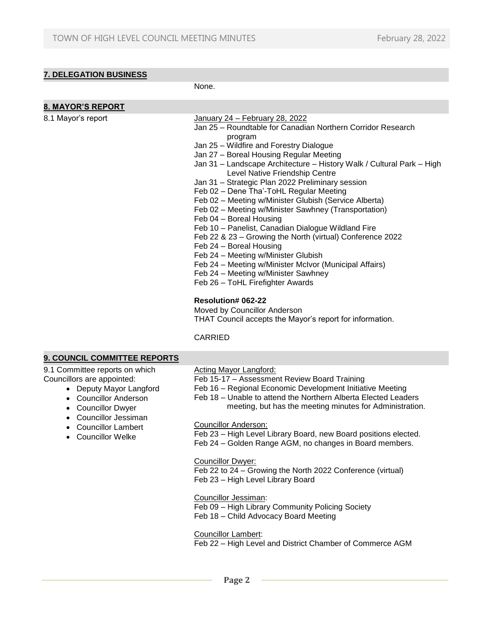# **7. DELEGATION BUSINESS**

None.

| 8. MAYOR'S REPORT                                                                                              |                                                                                                                                                                                                                                                                                                                                                                                                                                                                                                                                                                                                                                                                                                                                                                                                                                                                                                                                                                                                                           |
|----------------------------------------------------------------------------------------------------------------|---------------------------------------------------------------------------------------------------------------------------------------------------------------------------------------------------------------------------------------------------------------------------------------------------------------------------------------------------------------------------------------------------------------------------------------------------------------------------------------------------------------------------------------------------------------------------------------------------------------------------------------------------------------------------------------------------------------------------------------------------------------------------------------------------------------------------------------------------------------------------------------------------------------------------------------------------------------------------------------------------------------------------|
| 8.1 Mayor's report                                                                                             | January 24 - February 28, 2022<br>Jan 25 – Roundtable for Canadian Northern Corridor Research<br>program<br>Jan 25 - Wildfire and Forestry Dialogue<br>Jan 27 - Boreal Housing Regular Meeting<br>Jan 31 - Landscape Architecture - History Walk / Cultural Park - High<br>Level Native Friendship Centre<br>Jan 31 - Strategic Plan 2022 Preliminary session<br>Feb 02 - Dene Tha'-ToHL Regular Meeting<br>Feb 02 - Meeting w/Minister Glubish (Service Alberta)<br>Feb 02 - Meeting w/Minister Sawhney (Transportation)<br>Feb 04 - Boreal Housing<br>Feb 10 - Panelist, Canadian Dialogue Wildland Fire<br>Feb 22 & 23 - Growing the North (virtual) Conference 2022<br>Feb 24 - Boreal Housing<br>Feb 24 - Meeting w/Minister Glubish<br>Feb 24 - Meeting w/Minister McIvor (Municipal Affairs)<br>Feb 24 - Meeting w/Minister Sawhney<br>Feb 26 - ToHL Firefighter Awards<br><b>Resolution# 062-22</b><br>Moved by Councillor Anderson<br>THAT Council accepts the Mayor's report for information.<br><b>CARRIED</b> |
| 9. COUNCIL COMMITTEE REPORTS                                                                                   |                                                                                                                                                                                                                                                                                                                                                                                                                                                                                                                                                                                                                                                                                                                                                                                                                                                                                                                                                                                                                           |
| 9.1 Committee reports on which<br>Councillors are appointed:<br>• Deputy Mayor Langford<br>Councillor Anderson | <b>Acting Mayor Langford:</b><br>Feb 15-17 - Assessment Review Board Training<br>Feb 16 - Regional Economic Development Initiative Meeting<br>Feb 18 - Unable to attend the Northern Alberta Flected Leaders                                                                                                                                                                                                                                                                                                                                                                                                                                                                                                                                                                                                                                                                                                                                                                                                              |

- Councillor Anderson Councillor Dwyer
- 
- Councillor Jessiman
- Councillor Lambert
- Councillor Welke
- Feb 18 Unable to attend the Northern Alberta Elected Leaders meeting, but has the meeting minutes for Administration.

Councillor Anderson:

Feb 23 – High Level Library Board, new Board positions elected. Feb 24 – Golden Range AGM, no changes in Board members.

Councillor Dwyer:

Feb 22 to 24 – Growing the North 2022 Conference (virtual) Feb 23 – High Level Library Board

Councillor Jessiman: Feb 09 – High Library Community Policing Society Feb 18 – Child Advocacy Board Meeting

Councillor Lambert:

Feb 22 – High Level and District Chamber of Commerce AGM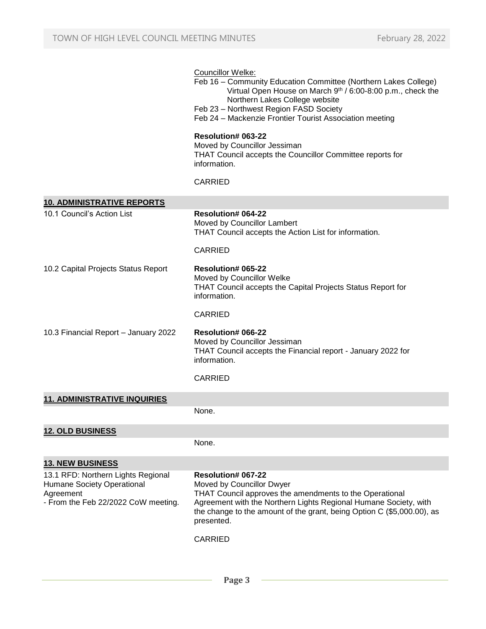### Councillor Welke:

- Feb 16 Community Education Committee (Northern Lakes College) Virtual Open House on March 9th / 6:00-8:00 p.m., check the Northern Lakes College website
- Feb 23 Northwest Region FASD Society
- Feb 24 Mackenzie Frontier Tourist Association meeting

### **Resolution# 063-22**

Moved by Councillor Jessiman THAT Council accepts the Councillor Committee reports for information.

### CARRIED

| <b>10. ADMINISTRATIVE REPORTS</b>                                                                                    |                                                                                                                                                                                                                                                                               |
|----------------------------------------------------------------------------------------------------------------------|-------------------------------------------------------------------------------------------------------------------------------------------------------------------------------------------------------------------------------------------------------------------------------|
| 10.1 Council's Action List                                                                                           | <b>Resolution# 064-22</b><br>Moved by Councillor Lambert<br>THAT Council accepts the Action List for information.                                                                                                                                                             |
|                                                                                                                      | <b>CARRIED</b>                                                                                                                                                                                                                                                                |
| 10.2 Capital Projects Status Report                                                                                  | Resolution# 065-22<br>Moved by Councillor Welke<br>THAT Council accepts the Capital Projects Status Report for<br>information.                                                                                                                                                |
|                                                                                                                      | <b>CARRIED</b>                                                                                                                                                                                                                                                                |
| 10.3 Financial Report - January 2022                                                                                 | <b>Resolution# 066-22</b><br>Moved by Councillor Jessiman<br>THAT Council accepts the Financial report - January 2022 for<br>information.                                                                                                                                     |
|                                                                                                                      | <b>CARRIED</b>                                                                                                                                                                                                                                                                |
| <b>11. ADMINISTRATIVE INQUIRIES</b>                                                                                  |                                                                                                                                                                                                                                                                               |
|                                                                                                                      | None.                                                                                                                                                                                                                                                                         |
| <b>12. OLD BUSINESS</b>                                                                                              |                                                                                                                                                                                                                                                                               |
|                                                                                                                      | None.                                                                                                                                                                                                                                                                         |
| <b>13. NEW BUSINESS</b>                                                                                              |                                                                                                                                                                                                                                                                               |
| 13.1 RFD: Northern Lights Regional<br>Humane Society Operational<br>Agreement<br>- From the Feb 22/2022 CoW meeting. | <b>Resolution# 067-22</b><br>Moved by Councillor Dwyer<br>THAT Council approves the amendments to the Operational<br>Agreement with the Northern Lights Regional Humane Society, with<br>the change to the amount of the grant, being Option C (\$5,000.00), as<br>presented. |
|                                                                                                                      | <b>CARRIED</b>                                                                                                                                                                                                                                                                |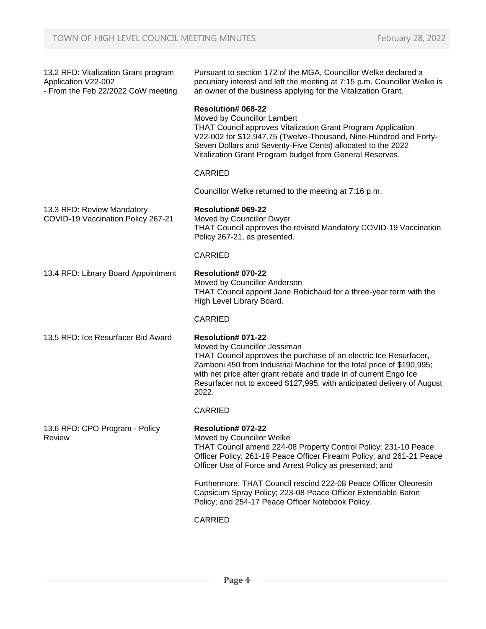| 13.2 RFD: Vitalization Grant program<br>Application V22-002<br>- From the Feb 22/2022 CoW meeting. | Pursuant to section 172 of the MGA, Councillor Welke declared a<br>pecuniary interest and left the meeting at 7:15 p.m. Councillor Welke is<br>an owner of the business applying for the Vitalization Grant.                                                                                                                                                      |
|----------------------------------------------------------------------------------------------------|-------------------------------------------------------------------------------------------------------------------------------------------------------------------------------------------------------------------------------------------------------------------------------------------------------------------------------------------------------------------|
|                                                                                                    | <b>Resolution# 068-22</b><br>Moved by Councillor Lambert<br><b>THAT Council approves Vitalization Grant Program Application</b><br>V22-002 for \$12,947.75 (Twelve-Thousand, Nine-Hundred and Forty-<br>Seven Dollars and Seventy-Five Cents) allocated to the 2022<br>Vitalization Grant Program budget from General Reserves.                                   |
|                                                                                                    | <b>CARRIED</b>                                                                                                                                                                                                                                                                                                                                                    |
|                                                                                                    | Councillor Welke returned to the meeting at 7:16 p.m.                                                                                                                                                                                                                                                                                                             |
| 13.3 RFD: Review Mandatory<br>COVID-19 Vaccination Policy 267-21                                   | <b>Resolution# 069-22</b><br>Moved by Councillor Dwyer<br>THAT Council approves the revised Mandatory COVID-19 Vaccination<br>Policy 267-21, as presented.                                                                                                                                                                                                        |
|                                                                                                    | <b>CARRIED</b>                                                                                                                                                                                                                                                                                                                                                    |
| 13.4 RFD: Library Board Appointment                                                                | <b>Resolution# 070-22</b><br>Moved by Councillor Anderson<br>THAT Council appoint Jane Robichaud for a three-year term with the<br>High Level Library Board.                                                                                                                                                                                                      |
|                                                                                                    | <b>CARRIED</b>                                                                                                                                                                                                                                                                                                                                                    |
| 13.5 RFD: Ice Resurfacer Bid Award                                                                 | <b>Resolution# 071-22</b><br>Moved by Councillor Jessiman<br>THAT Council approves the purchase of an electric Ice Resurfacer,<br>Zamboni 450 from Industrial Machine for the total price of \$190,995;<br>with net price after grant rebate and trade in of current Engo Ice<br>Resurfacer not to exceed \$127,995, with anticipated delivery of August<br>2022. |
|                                                                                                    | <b>CARRIED</b>                                                                                                                                                                                                                                                                                                                                                    |
| 13.6 RFD: CPO Program - Policy<br>Review                                                           | Resolution# 072-22<br>Moved by Councillor Welke<br>THAT Council amend 224-08 Property Control Policy; 231-10 Peace<br>Officer Policy; 261-19 Peace Officer Firearm Policy; and 261-21 Peace<br>Officer Use of Force and Arrest Policy as presented; and                                                                                                           |
|                                                                                                    | Furthermore, THAT Council rescind 222-08 Peace Officer Oleoresin<br>Capsicum Spray Policy; 223-08 Peace Officer Extendable Baton<br>Policy; and 254-17 Peace Officer Notebook Policy.                                                                                                                                                                             |
|                                                                                                    | <b>CARRIED</b>                                                                                                                                                                                                                                                                                                                                                    |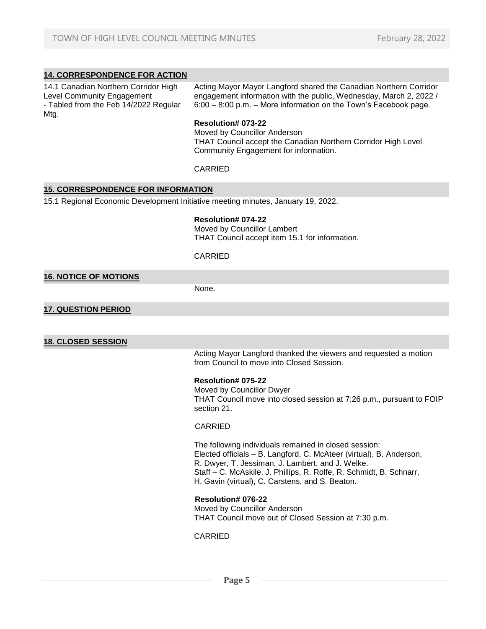# **14. CORRESPONDENCE FOR ACTION**

14.1 Canadian Northern Corridor High Level Community Engagement - Tabled from the Feb 14/2022 Regular Mtg.

Acting Mayor Mayor Langford shared the Canadian Northern Corridor engagement information with the public, Wednesday, March 2, 2022 / 6:00 – 8:00 p.m. – More information on the Town's Facebook page.

#### **Resolution# 073-22**

Moved by Councillor Anderson THAT Council accept the Canadian Northern Corridor High Level Community Engagement for information.

## CARRIED

### **15. CORRESPONDENCE FOR INFORMATION**

15.1 Regional Economic Development Initiative meeting minutes, January 19, 2022.

### **Resolution# 074-22**

Moved by Councillor Lambert THAT Council accept item 15.1 for information.

## CARRIED

# **16. NOTICE OF MOTIONS**

None.

### **17. QUESTION PERIOD**

## **18. CLOSED SESSION**

Acting Mayor Langford thanked the viewers and requested a motion from Council to move into Closed Session.

#### **Resolution# 075-22**

Moved by Councillor Dwyer THAT Council move into closed session at 7:26 p.m., pursuant to FOIP section 21.

#### CARRIED

The following individuals remained in closed session: Elected officials – B. Langford, C. McAteer (virtual), B. Anderson, R. Dwyer, T. Jessiman, J. Lambert, and J. Welke. Staff – C. McAskile, J. Phillips, R. Rolfe, R. Schmidt, B. Schnarr, H. Gavin (virtual), C. Carstens, and S. Beaton.

#### **Resolution# 076-22**

Moved by Councillor Anderson THAT Council move out of Closed Session at 7:30 p.m.

#### CARRIED